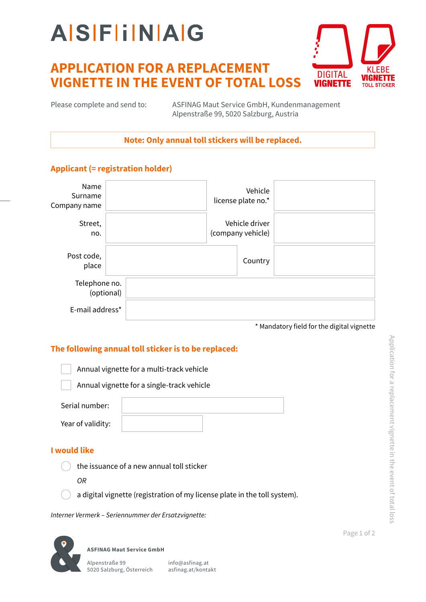# **AISFIINAG**

### **APPLICATION FOR A REPLACEMENT VIGNETTE IN THE EVENT OF TOTAL LOSS**



Please complete and send to:

ASFINAG Maut Service GmbH, Kundenmanagement Alpenstraße 99, 5020 Salzburg, Austria

**Note: Only annual toll stickers will be replaced.**

### **Applicant (= registration holder)**

| Name<br>Surname<br>Company name |  | Vehicle<br>license plate no.*       |  |
|---------------------------------|--|-------------------------------------|--|
| Street,<br>no.                  |  | Vehicle driver<br>(company vehicle) |  |
| Post code,<br>place             |  | Country                             |  |
| Telephone no.<br>(optional)     |  |                                     |  |
| E-mail address*                 |  |                                     |  |

\* Mandatory field for the digital vignette

### **The following annual toll sticker is to be replaced:**

Annual vignette for a multi-track vehicle

Annual vignette for a single-track vehicle

| Serial number:    |  |
|-------------------|--|
| Year of validity: |  |

#### **I would like**

the issuance of a new annual toll sticker

*OR*

a digital vignette (registration of my license plate in the toll system).

*Interner Vermerk – Seriennummer der Ersatzvignette:*

**ASFINAG Maut Service GmbH**